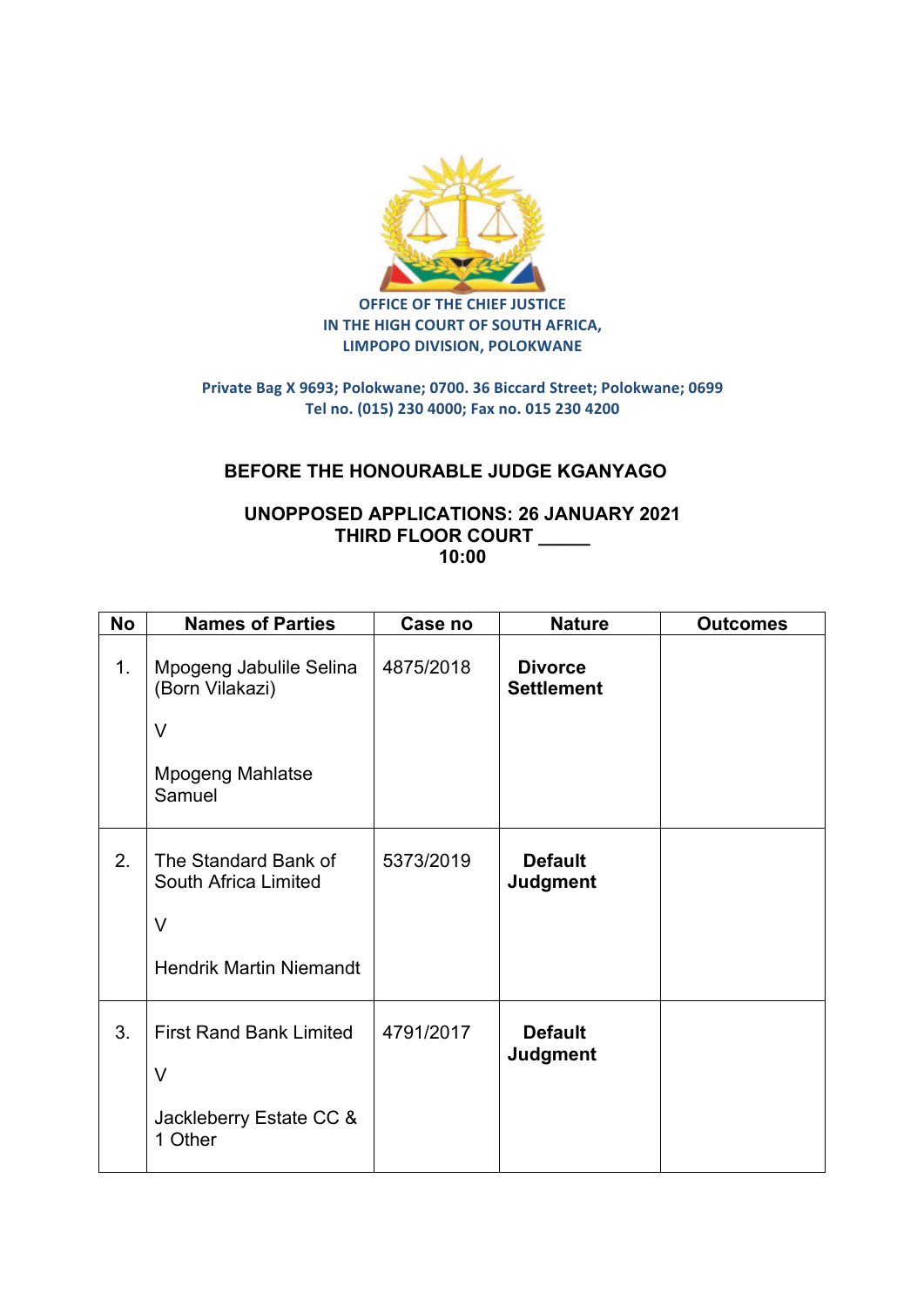

**OFFICE OF THE CHIEF JUSTICE IN THE HIGH COURT OF SOUTH AFRICA, LIMPOPO DIVISION, POLOKWANE** 

## **Private Bag X 9693; Polokwane; 0700. 36 Biccard Street; Polokwane; 0699 Tel no. (015) 230 4000; Fax no. 015 230 4200**

## **BEFORE THE HONOURABLE JUDGE KGANYAGO**

## **UNOPPOSED APPLICATIONS: 26 JANUARY 2021 THIRD FLOOR COURT \_\_\_\_\_ 10:00**

| No | <b>Names of Parties</b>                      | Case no   | <b>Nature</b>                       | <b>Outcomes</b> |
|----|----------------------------------------------|-----------|-------------------------------------|-----------------|
| 1. | Mpogeng Jabulile Selina<br>(Born Vilakazi)   | 4875/2018 | <b>Divorce</b><br><b>Settlement</b> |                 |
|    | $\vee$                                       |           |                                     |                 |
|    | <b>Mpogeng Mahlatse</b><br>Samuel            |           |                                     |                 |
| 2. | The Standard Bank of<br>South Africa Limited | 5373/2019 | <b>Default</b><br><b>Judgment</b>   |                 |
|    | $\vee$                                       |           |                                     |                 |
|    | <b>Hendrik Martin Niemandt</b>               |           |                                     |                 |
| 3. | <b>First Rand Bank Limited</b>               | 4791/2017 | <b>Default</b><br><b>Judgment</b>   |                 |
|    | $\vee$                                       |           |                                     |                 |
|    | Jackleberry Estate CC &<br>1 Other           |           |                                     |                 |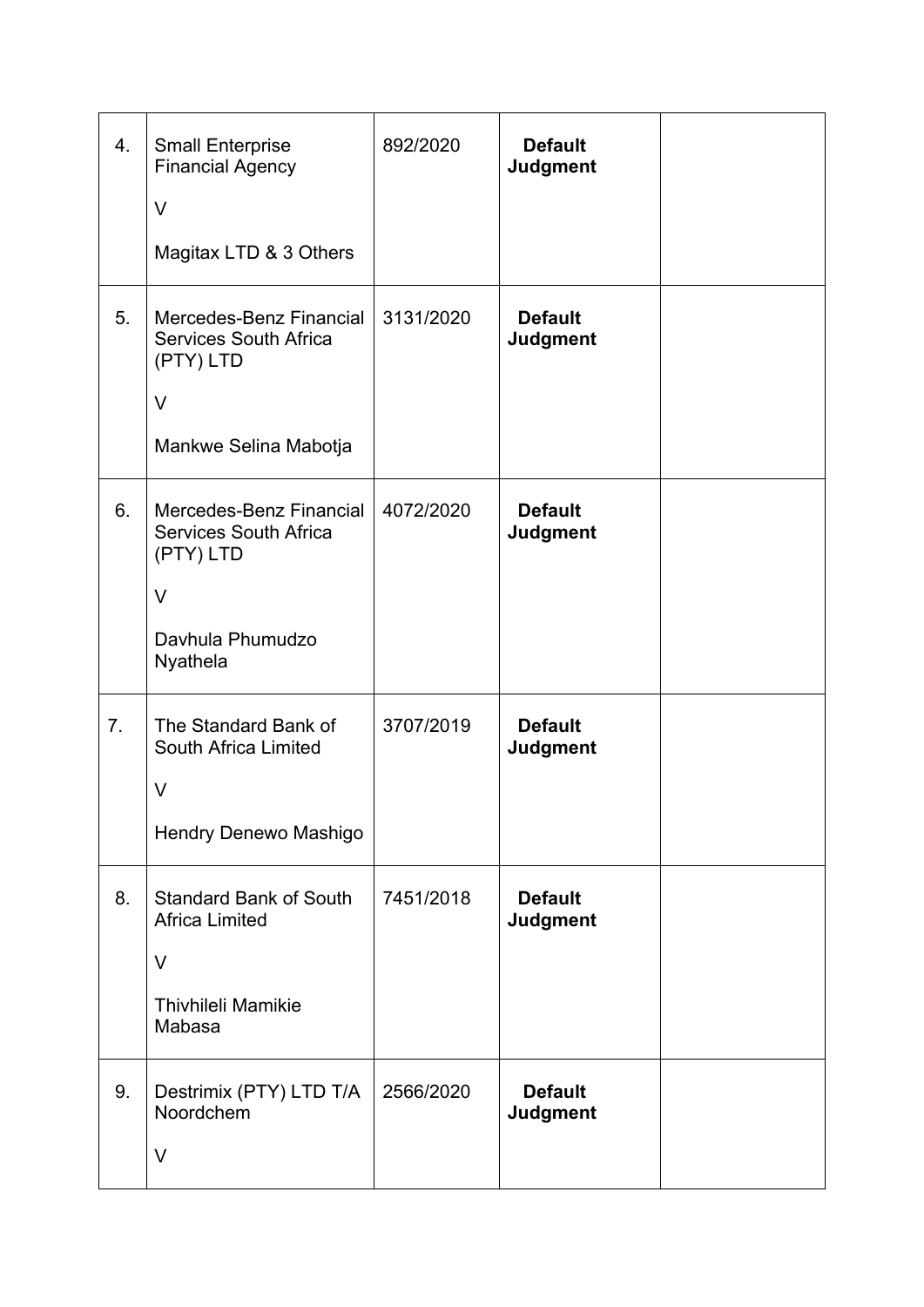| 4. | <b>Small Enterprise</b><br><b>Financial Agency</b><br>$\vee$                                            | 892/2020  | <b>Default</b><br><b>Judgment</b> |  |
|----|---------------------------------------------------------------------------------------------------------|-----------|-----------------------------------|--|
|    | Magitax LTD & 3 Others                                                                                  |           |                                   |  |
| 5. | Mercedes-Benz Financial<br><b>Services South Africa</b><br>(PTY) LTD<br>$\vee$                          | 3131/2020 | <b>Default</b><br><b>Judgment</b> |  |
|    | Mankwe Selina Mabotja                                                                                   |           |                                   |  |
| 6. | Mercedes-Benz Financial<br><b>Services South Africa</b><br>(PTY) LTD<br>$\vee$                          | 4072/2020 | <b>Default</b><br><b>Judgment</b> |  |
|    | Davhula Phumudzo<br>Nyathela                                                                            |           |                                   |  |
| 7. | The Standard Bank of<br>South Africa Limited<br>$\vee$                                                  | 3707/2019 | <b>Default</b><br><b>Judgment</b> |  |
|    | Hendry Denewo Mashigo                                                                                   |           |                                   |  |
| 8. | <b>Standard Bank of South</b><br><b>Africa Limited</b><br>$\vee$<br><b>Thivhileli Mamikie</b><br>Mabasa | 7451/2018 | <b>Default</b><br><b>Judgment</b> |  |
|    |                                                                                                         |           |                                   |  |
| 9. | Destrimix (PTY) LTD T/A<br>Noordchem<br>V                                                               | 2566/2020 | <b>Default</b><br><b>Judgment</b> |  |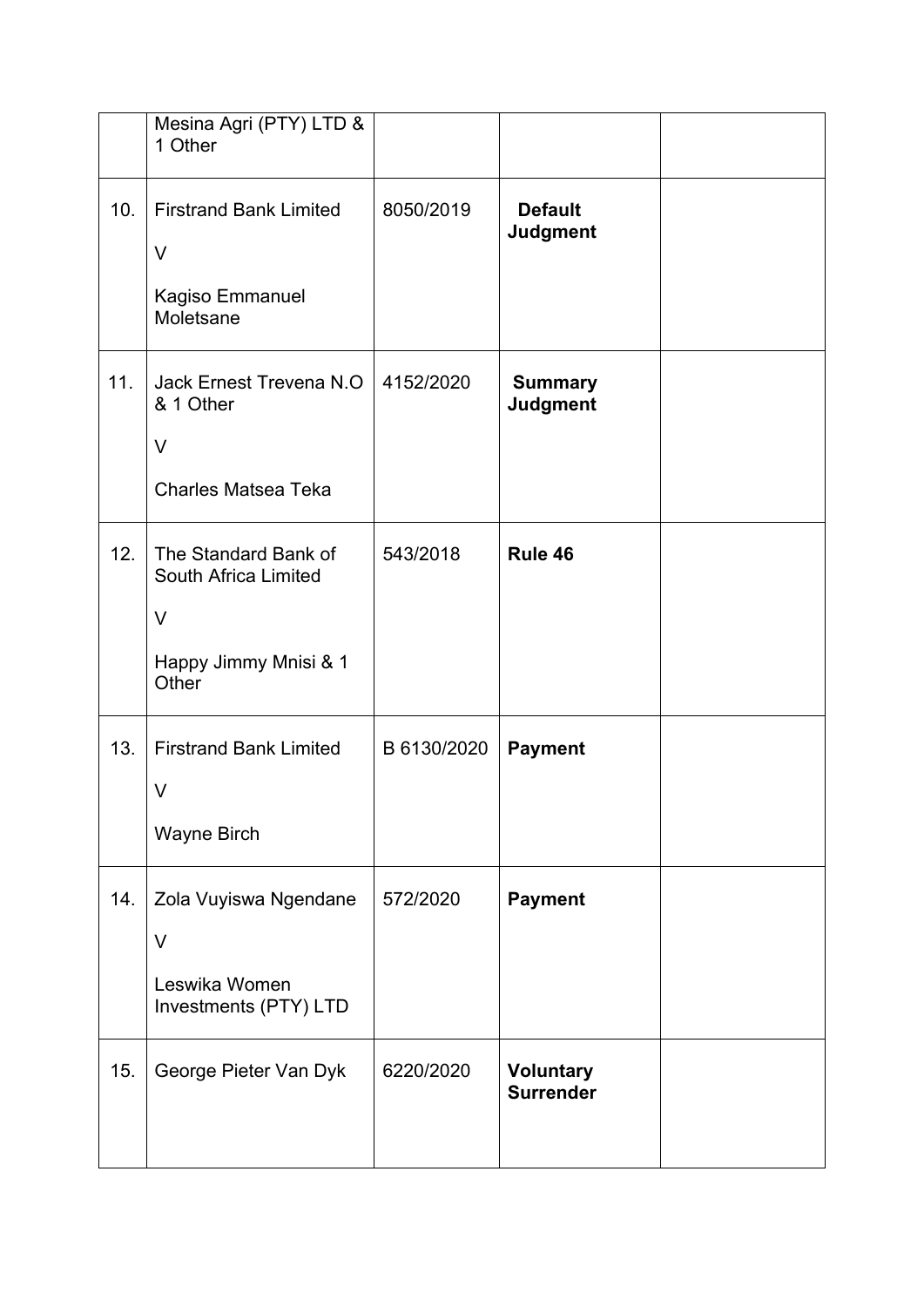|     | Mesina Agri (PTY) LTD &<br>1 Other                                                       |             |                                      |  |
|-----|------------------------------------------------------------------------------------------|-------------|--------------------------------------|--|
| 10. | <b>Firstrand Bank Limited</b><br>$\vee$<br>Kagiso Emmanuel<br>Moletsane                  | 8050/2019   | <b>Default</b><br><b>Judgment</b>    |  |
| 11. | Jack Ernest Trevena N.O.<br>& 1 Other<br>$\vee$<br><b>Charles Matsea Teka</b>            | 4152/2020   | <b>Summary</b><br><b>Judgment</b>    |  |
| 12. | The Standard Bank of<br>South Africa Limited<br>$\vee$<br>Happy Jimmy Mnisi & 1<br>Other | 543/2018    | Rule 46                              |  |
| 13. | <b>Firstrand Bank Limited</b><br>V<br><b>Wayne Birch</b>                                 | B 6130/2020 | <b>Payment</b>                       |  |
| 14. | Zola Vuyiswa Ngendane<br>$\vee$<br>Leswika Women<br>Investments (PTY) LTD                | 572/2020    | <b>Payment</b>                       |  |
| 15. | George Pieter Van Dyk                                                                    | 6220/2020   | <b>Voluntary</b><br><b>Surrender</b> |  |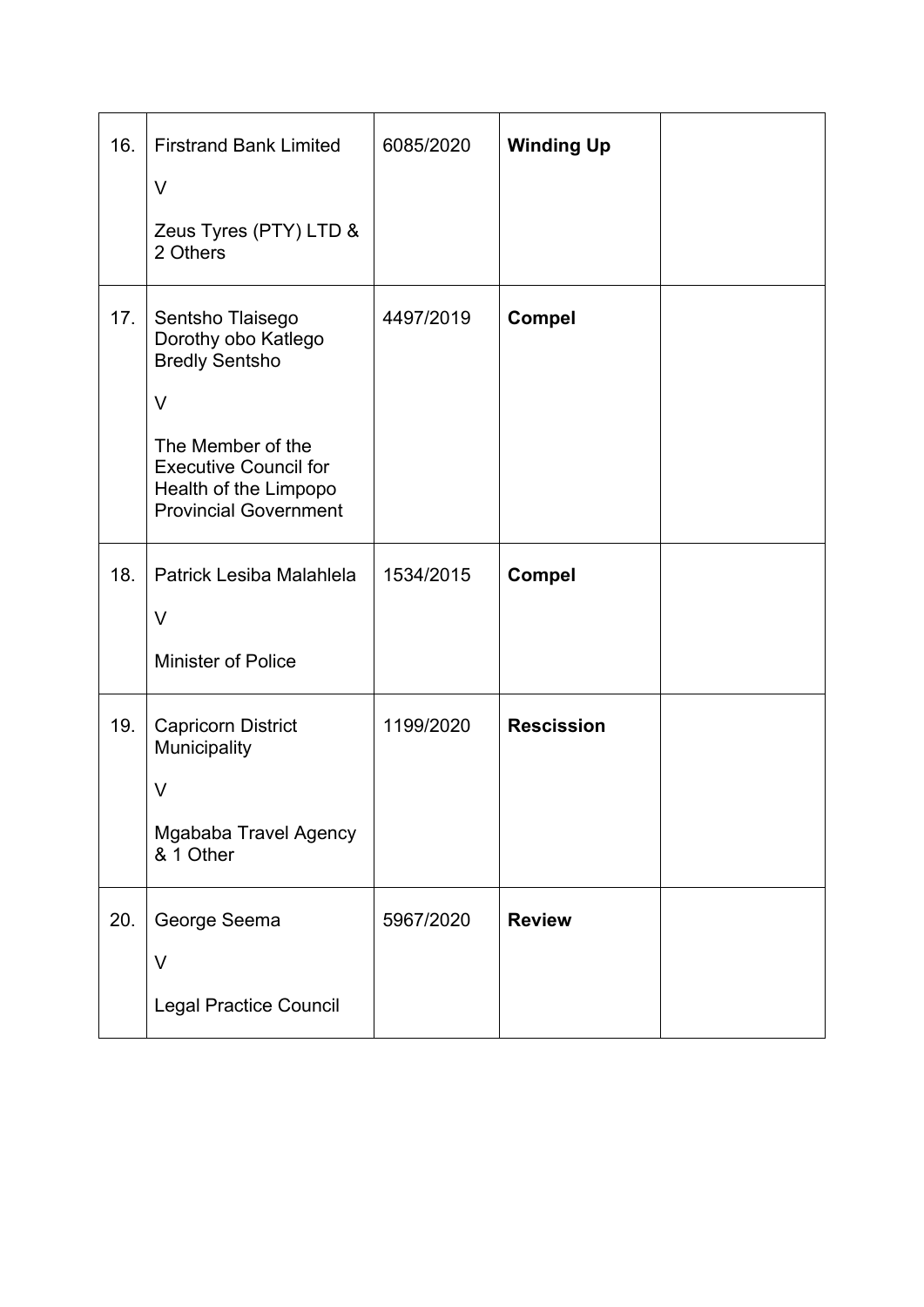| 16. | <b>Firstrand Bank Limited</b><br>$\vee$<br>Zeus Tyres (PTY) LTD &<br>2 Others                                                                                                            | 6085/2020 | <b>Winding Up</b> |  |
|-----|------------------------------------------------------------------------------------------------------------------------------------------------------------------------------------------|-----------|-------------------|--|
| 17. | Sentsho Tlaisego<br>Dorothy obo Katlego<br><b>Bredly Sentsho</b><br>$\vee$<br>The Member of the<br><b>Executive Council for</b><br>Health of the Limpopo<br><b>Provincial Government</b> | 4497/2019 | <b>Compel</b>     |  |
| 18. | Patrick Lesiba Malahlela<br>$\vee$<br>Minister of Police                                                                                                                                 | 1534/2015 | <b>Compel</b>     |  |
| 19. | <b>Capricorn District</b><br>Municipality<br>V<br>Mgababa Travel Agency<br>& 1 Other                                                                                                     | 1199/2020 | <b>Rescission</b> |  |
| 20. | George Seema<br>V<br><b>Legal Practice Council</b>                                                                                                                                       | 5967/2020 | <b>Review</b>     |  |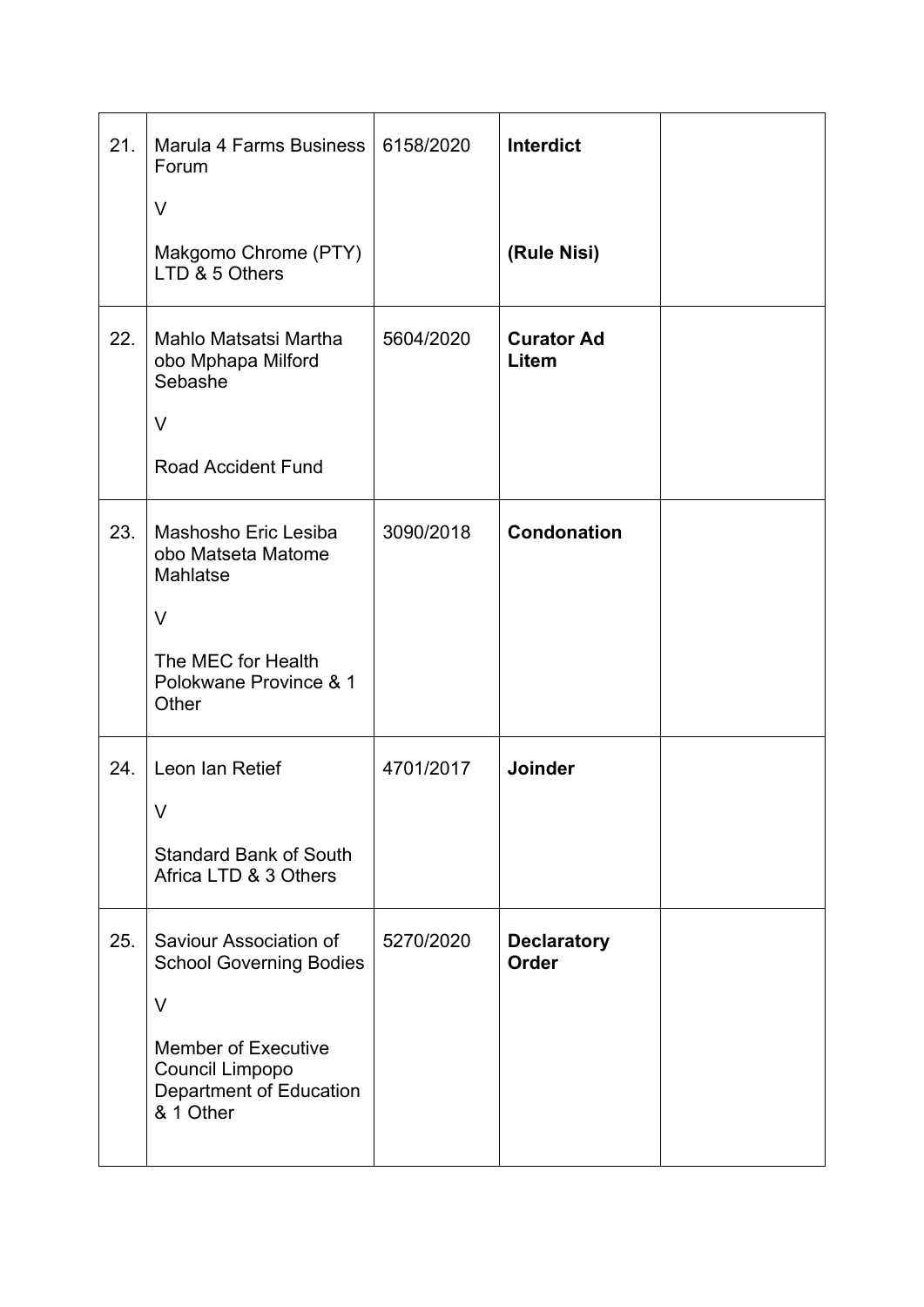| 21. | Marula 4 Farms Business<br>Forum<br>V                                                                                                                  | 6158/2020 | <b>Interdict</b>                   |  |
|-----|--------------------------------------------------------------------------------------------------------------------------------------------------------|-----------|------------------------------------|--|
|     | Makgomo Chrome (PTY)<br>LTD & 5 Others                                                                                                                 |           | (Rule Nisi)                        |  |
| 22. | Mahlo Matsatsi Martha<br>obo Mphapa Milford<br>Sebashe<br>V<br><b>Road Accident Fund</b>                                                               | 5604/2020 | <b>Curator Ad</b><br><b>Litem</b>  |  |
| 23. | Mashosho Eric Lesiba<br>obo Matseta Matome<br>Mahlatse<br>V<br>The MEC for Health<br>Polokwane Province & 1<br>Other                                   | 3090/2018 | <b>Condonation</b>                 |  |
| 24. | Leon Ian Retief<br>V<br><b>Standard Bank of South</b><br>Africa LTD & 3 Others                                                                         | 4701/2017 | Joinder                            |  |
| 25. | Saviour Association of<br><b>School Governing Bodies</b><br>V<br><b>Member of Executive</b><br>Council Limpopo<br>Department of Education<br>& 1 Other | 5270/2020 | <b>Declaratory</b><br><b>Order</b> |  |